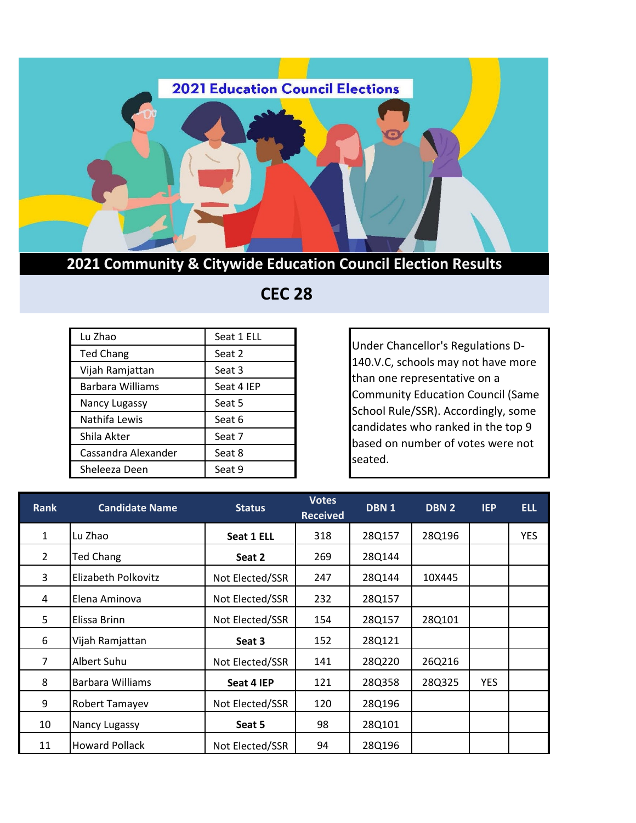

## **2021 Community & Citywide Education Council Election Results**

| Lu Zhao             | Seat 1 ELL |
|---------------------|------------|
| <b>Ted Chang</b>    | Seat 2     |
| Vijah Ramjattan     | Seat 3     |
| Barbara Williams    | Seat 4 IEP |
| Nancy Lugassy       | Seat 5     |
| Nathifa Lewis       | Seat 6     |
| Shila Akter         | Seat 7     |
| Cassandra Alexander | Seat 8     |
| Sheleeza Deen       | Seat 9     |

## **CEC 28**

Under Chancellor's Regulations D-140.V.C, schools may not have more than one representative on a Community Education Council (Same School Rule/SSR). Accordingly, some candidates who ranked in the top 9 based on number of votes were not seated.

| <b>Rank</b>    | <b>Candidate Name</b>   | <b>Status</b>   | <b>Votes</b><br><b>Received</b> | DBN <sub>1</sub> |        | <b>IEP</b> | <b>ELL</b> |
|----------------|-------------------------|-----------------|---------------------------------|------------------|--------|------------|------------|
| $\mathbf{1}$   | Lu Zhao                 | Seat 1 ELL      | 318                             | 28Q157           | 28Q196 |            | <b>YES</b> |
| $\overline{2}$ | Ted Chang               | Seat 2          | 269                             | 28Q144           |        |            |            |
| 3              | Elizabeth Polkovitz     | Not Elected/SSR | 247                             | 28Q144           | 10X445 |            |            |
| 4              | Elena Aminova           | Not Elected/SSR | 232                             | 28Q157           |        |            |            |
| 5              | Elissa Brinn            | Not Elected/SSR | 154                             | 28Q157           | 28Q101 |            |            |
| 6              | Vijah Ramjattan         | Seat 3          | 152                             | 28Q121           |        |            |            |
| 7              | Albert Suhu             | Not Elected/SSR | 141                             | 28Q220           | 26Q216 |            |            |
| 8              | <b>Barbara Williams</b> | Seat 4 IEP      | 121                             | 28Q358           | 28Q325 | <b>YES</b> |            |
| 9              | <b>Robert Tamayev</b>   | Not Elected/SSR | 120                             | 28Q196           |        |            |            |
| 10             | Nancy Lugassy           | Seat 5          | 98                              | 28Q101           |        |            |            |
| 11             | <b>Howard Pollack</b>   | Not Elected/SSR | 94                              | 28Q196           |        |            |            |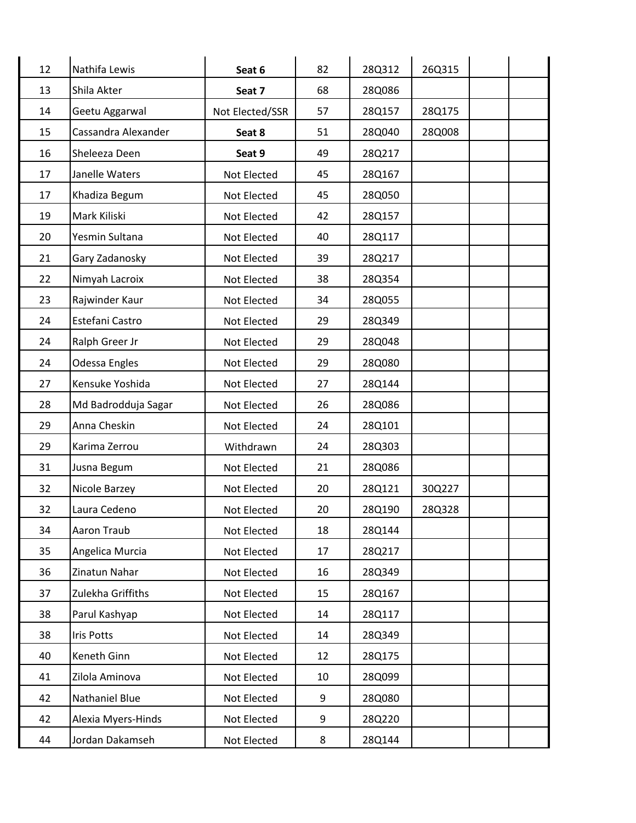| 12 | Nathifa Lewis       | Seat 6          | 82 | 28Q312 | 26Q315 |  |
|----|---------------------|-----------------|----|--------|--------|--|
| 13 | Shila Akter         | Seat 7          | 68 | 28Q086 |        |  |
| 14 | Geetu Aggarwal      | Not Elected/SSR | 57 | 28Q157 | 28Q175 |  |
| 15 | Cassandra Alexander | Seat 8          | 51 | 28Q040 | 28Q008 |  |
| 16 | Sheleeza Deen       | Seat 9          | 49 | 28Q217 |        |  |
| 17 | Janelle Waters      | Not Elected     | 45 | 28Q167 |        |  |
| 17 | Khadiza Begum       | Not Elected     | 45 | 28Q050 |        |  |
| 19 | Mark Kiliski        | Not Elected     | 42 | 28Q157 |        |  |
| 20 | Yesmin Sultana      | Not Elected     | 40 | 28Q117 |        |  |
| 21 | Gary Zadanosky      | Not Elected     | 39 | 28Q217 |        |  |
| 22 | Nimyah Lacroix      | Not Elected     | 38 | 28Q354 |        |  |
| 23 | Rajwinder Kaur      | Not Elected     | 34 | 28Q055 |        |  |
| 24 | Estefani Castro     | Not Elected     | 29 | 28Q349 |        |  |
| 24 | Ralph Greer Jr      | Not Elected     | 29 | 28Q048 |        |  |
| 24 | Odessa Engles       | Not Elected     | 29 | 28Q080 |        |  |
| 27 | Kensuke Yoshida     | Not Elected     | 27 | 28Q144 |        |  |
| 28 | Md Badrodduja Sagar | Not Elected     | 26 | 28Q086 |        |  |
| 29 | Anna Cheskin        | Not Elected     | 24 | 28Q101 |        |  |
| 29 | Karima Zerrou       | Withdrawn       | 24 | 28Q303 |        |  |
| 31 | Jusna Begum         | Not Elected     | 21 | 28Q086 |        |  |
| 32 | Nicole Barzey       | Not Elected     | 20 | 28Q121 | 30Q227 |  |
| 32 | Laura Cedeno        | Not Elected     | 20 | 28Q190 | 28Q328 |  |
| 34 | Aaron Traub         | Not Elected     | 18 | 28Q144 |        |  |
| 35 | Angelica Murcia     | Not Elected     | 17 | 28Q217 |        |  |
| 36 | Zinatun Nahar       | Not Elected     | 16 | 28Q349 |        |  |
| 37 | Zulekha Griffiths   | Not Elected     | 15 | 28Q167 |        |  |
| 38 | Parul Kashyap       | Not Elected     | 14 | 28Q117 |        |  |
| 38 | <b>Iris Potts</b>   | Not Elected     | 14 | 28Q349 |        |  |
| 40 | Keneth Ginn         | Not Elected     | 12 | 28Q175 |        |  |
| 41 | Zilola Aminova      | Not Elected     | 10 | 28Q099 |        |  |
| 42 | Nathaniel Blue      | Not Elected     | 9  | 28Q080 |        |  |
| 42 | Alexia Myers-Hinds  | Not Elected     | 9  | 28Q220 |        |  |
| 44 | Jordan Dakamseh     | Not Elected     | 8  | 28Q144 |        |  |